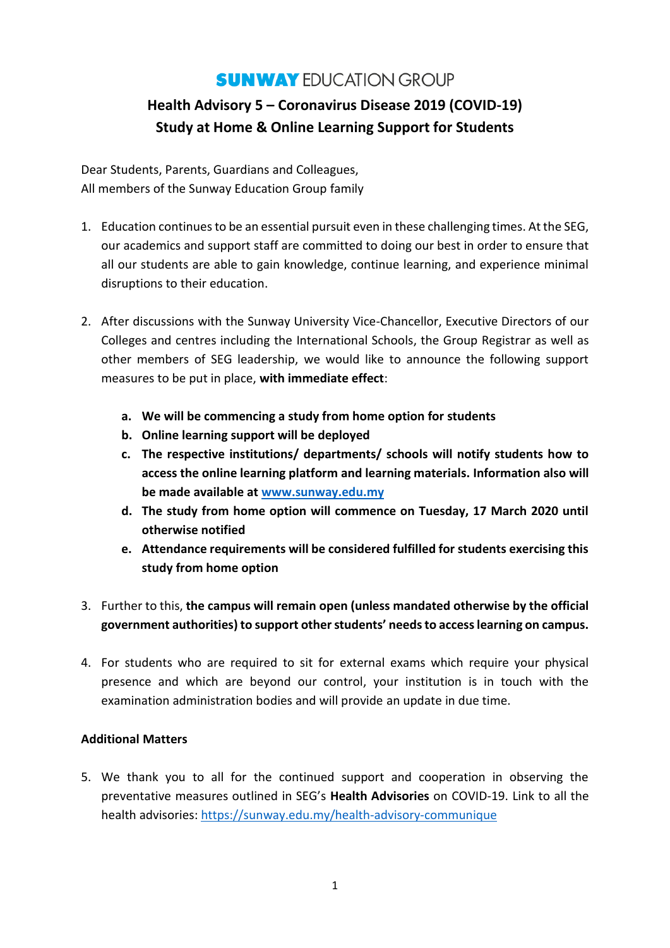## **SUNWAY EDUCATION GROUP**

# **Health Advisory 5 – Coronavirus Disease 2019 (COVID-19) Study at Home & Online Learning Support for Students**

Dear Students, Parents, Guardians and Colleagues, All members of the Sunway Education Group family

- 1. Education continues to be an essential pursuit even in these challenging times. At the SEG, our academics and support staff are committed to doing our best in order to ensure that all our students are able to gain knowledge, continue learning, and experience minimal disruptions to their education.
- 2. After discussions with the Sunway University Vice-Chancellor, Executive Directors of our Colleges and centres including the International Schools, the Group Registrar as well as other members of SEG leadership, we would like to announce the following support measures to be put in place, **with immediate effect**:
	- **a. We will be commencing a study from home option for students**
	- **b. Online learning support will be deployed**
	- **c. The respective institutions/ departments/ schools will notify students how to access the online learning platform and learning materials. Information also will be made available at [www.sunway.edu.my](http://www.sunway.edu.my/)**
	- **d. The study from home option will commence on Tuesday, 17 March 2020 until otherwise notified**
	- **e. Attendance requirements will be considered fulfilled for students exercising this study from home option**
- 3. Further to this, **the campus will remain open (unless mandated otherwise by the official government authorities) to support other students' needs to access learning on campus.**
- 4. For students who are required to sit for external exams which require your physical presence and which are beyond our control, your institution is in touch with the examination administration bodies and will provide an update in due time.

#### **Additional Matters**

5. We thank you to all for the continued support and cooperation in observing the preventative measures outlined in SEG's **Health Advisories** on COVID-19. Link to all the health advisories[: https://sunway.edu.my/health-advisory-communique](https://sunway.edu.my/health-advisory-communique)